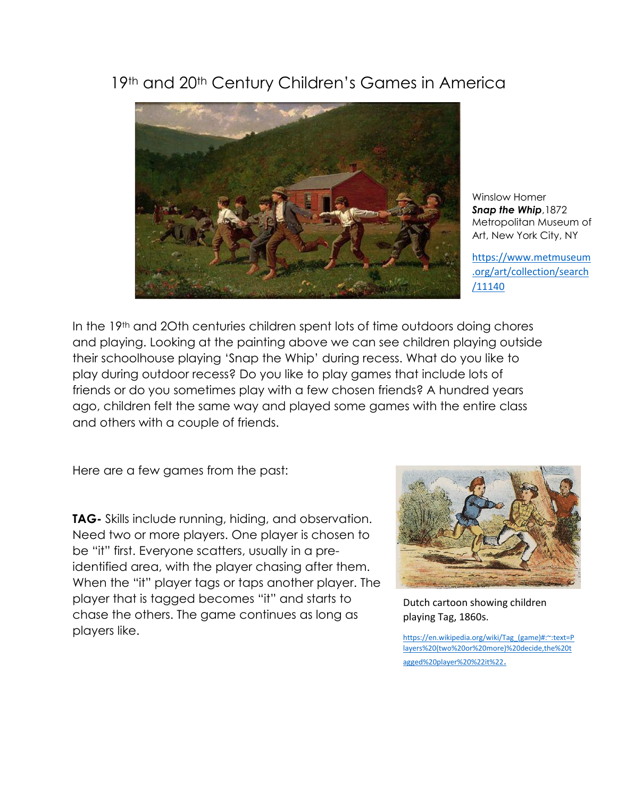## 19th and 20th Century Children's Games in America



Winslow Homer *Snap the Whip*,1872 Metropolitan Museum of Art, New York City, NY

[https://www.metmuseum](https://www.metmuseum.org/art/collection/search/11140) [.org/art/collection/search](https://www.metmuseum.org/art/collection/search/11140) [/11140](https://www.metmuseum.org/art/collection/search/11140)

In the 19<sup>th</sup> and 20th centuries children spent lots of time outdoors doing chores and playing. Looking at the painting above we can see children playing outside their schoolhouse playing 'Snap the Whip' during recess. What do you like to play during outdoor recess? Do you like to play games that include lots of friends or do you sometimes play with a few chosen friends? A hundred years ago, children felt the same way and played some games with the entire class and others with a couple of friends.

Here are a few games from the past:

**TAG-** Skills include running, hiding, and observation. Need two or more players. One player is chosen to be "it" first. Everyone scatters, usually in a preidentified area, with the player chasing after them. When the "it" player tags or taps another player. The player that is tagged becomes "it" and starts to chase the others. The game continues as long as players like.



Dutch cartoon showing children playing Tag, 1860s.

[https://en.wikipedia.org/wiki/Tag\\_\(game\)#:~:text=P](https://en.wikipedia.org/wiki/Tag_(game)#:~:text=Players%20(two%20or%20more)%20decide,the%20tagged%20player%20%22it%22.) [layers%20\(two%20or%20more\)%20decide,the%20t](https://en.wikipedia.org/wiki/Tag_(game)#:~:text=Players%20(two%20or%20more)%20decide,the%20tagged%20player%20%22it%22.) [agged%20player%20%22it%22](https://en.wikipedia.org/wiki/Tag_(game)#:~:text=Players%20(two%20or%20more)%20decide,the%20tagged%20player%20%22it%22.).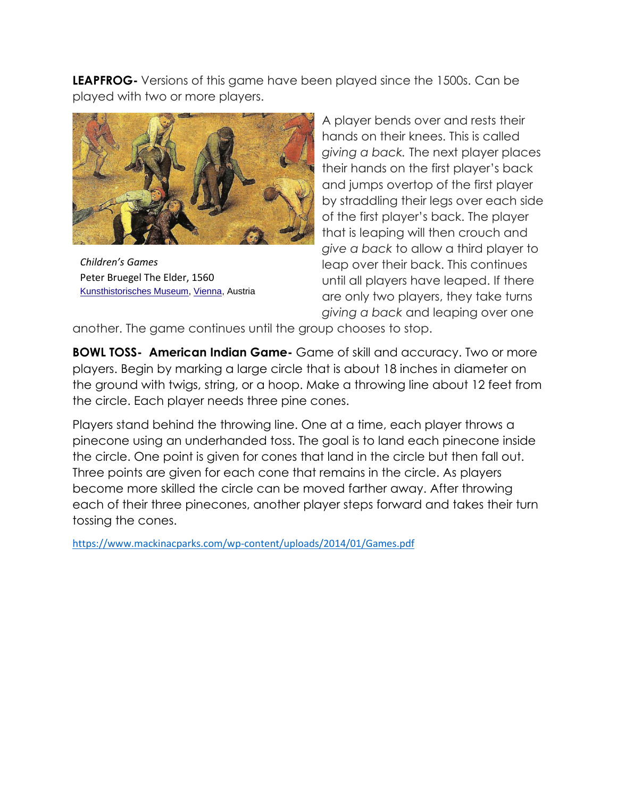**LEAPFROG-** Versions of this game have been played since the 1500s. Can be played with two or more players.



*Children's Games*  Peter Bruegel The Elder, 1560 [Kunsthistorisches Museum,](https://en.wikipedia.org/wiki/Kunsthistorisches_Museum) [Vienna,](https://en.wikipedia.org/wiki/Vienna) Austria

A player bends over and rests their hands on their knees. This is called *giving a back.* The next player places their hands on the first player's back and jumps overtop of the first player by straddling their legs over each side of the first player's back. The player that is leaping will then crouch and *give a back* to allow a third player to leap over their back. This continues until all players have leaped. If there are only two players, they take turns *giving a back* and leaping over one

another. The game continues until the group chooses to stop.

**BOWL TOSS- American Indian Game-** Game of skill and accuracy. Two or more players. Begin by marking a large circle that is about 18 inches in diameter on the ground with twigs, string, or a hoop. Make a throwing line about 12 feet from the circle. Each player needs three pine cones.

Players stand behind the throwing line. One at a time, each player throws a pinecone using an underhanded toss. The goal is to land each pinecone inside the circle. One point is given for cones that land in the circle but then fall out. Three points are given for each cone that remains in the circle. As players become more skilled the circle can be moved farther away. After throwing each of their three pinecones, another player steps forward and takes their turn tossing the cones.

<https://www.mackinacparks.com/wp-content/uploads/2014/01/Games.pdf>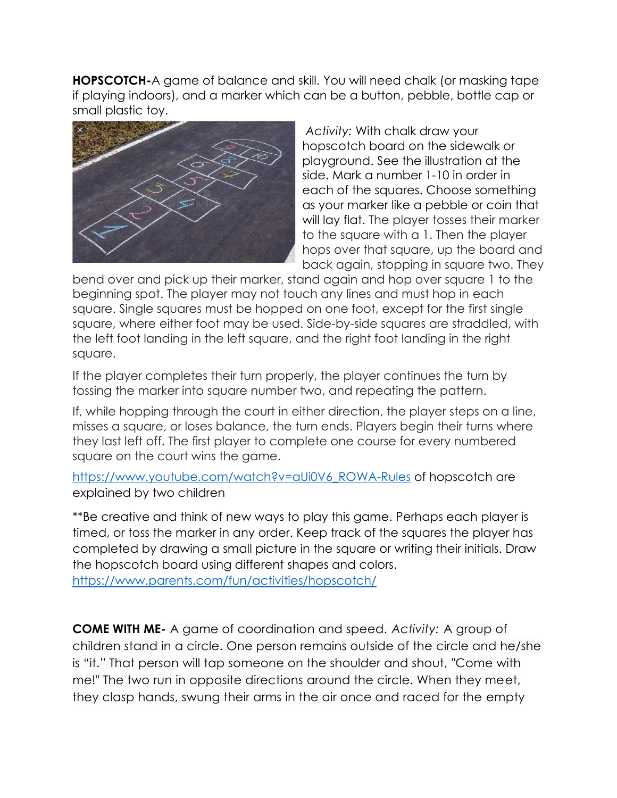**HOPSCOTCH-**A game of balance and skill. You will need chalk (or masking tape if playing indoors), and a marker which can be a button, pebble, bottle cap or small plastic toy.



*Activity:* With chalk draw your hopscotch board on the sidewalk or playground. See the illustration at the side. Mark a number 1-10 in order in each of the squares. Choose something as your marker like a pebble or coin that will lay flat. The player tosses their marker to the square with a 1. Then the player hops over that square, up the board and back again, stopping in square two. They

bend over and pick up their marker, stand again and hop over square 1 to the beginning spot. The player may not touch any lines and must hop in each square. Single squares must be hopped on one foot, except for the first single square, where either foot may be used. Side-by-side squares are straddled, with the left foot landing in the left square, and the right foot landing in the right square.

If the player completes their turn properly, the player continues the turn by tossing the marker into square number two, and repeating the pattern.

If, while hopping through the court in either direction, the player steps on a line, misses a square, or loses balance, the turn ends. Players begin their turns where they last left off. The first player to complete one course for every numbered square on the court wins the game.

[https://www.youtube.com/watch?v=aUi0V6\\_ROWA-Rules](https://www.youtube.com/watch?v=aUi0V6_ROWA-Rules) of hopscotch are explained by two children

\*\*Be creative and think of new ways to play this game. Perhaps each player is timed, or toss the marker in any order. Keep track of the squares the player has completed by drawing a small picture in the square or writing their initials. Draw the hopscotch board using different shapes and colors. <https://www.parents.com/fun/activities/hopscotch/>

**COME WITH ME-** A game of coordination and speed. *Activity:* A group of children stand in a circle. One person remains outside of the circle and he/she is "it." That person will tap someone on the shoulder and shout, "Come with me!" The two run in opposite directions around the circle. When they meet, they clasp hands, swung their arms in the air once and raced for the empty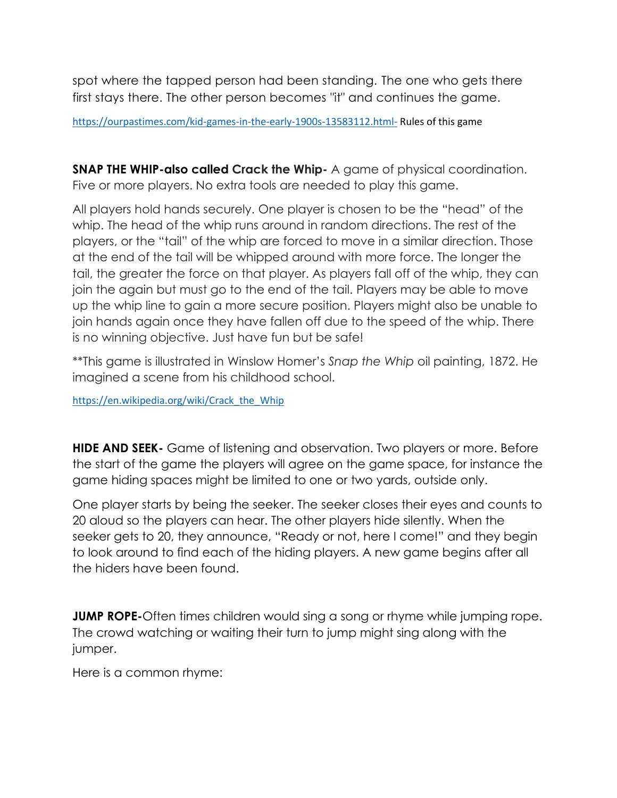spot where the tapped person had been standing. The one who gets there first stays there. The other person becomes "it" and continues the game.

<https://ourpastimes.com/kid-games-in-the-early-1900s-13583112.html-> Rules of this game

**SNAP THE WHIP-also called Crack the Whip-** A game of physical coordination. Five or more players. No extra tools are needed to play this game.

All players hold hands securely. One player is chosen to be the "head" of the whip. The head of the whip runs around in random directions. The rest of the players, or the "tail" of the whip are forced to move in a similar direction. Those at the end of the tail will be whipped around with more force. The longer the tail, the greater the force on that player. As players fall off of the whip, they can join the again but must go to the end of the tail. Players may be able to move up the whip line to gain a more secure position. Players might also be unable to join hands again once they have fallen off due to the speed of the whip. There is no winning objective. Just have fun but be safe!

\*\*This game is illustrated in Winslow Homer's *Snap the Whip* oil painting, 1872. He imagined a scene from his childhood school.

[https://en.wikipedia.org/wiki/Crack\\_the\\_Whip](https://en.wikipedia.org/wiki/Crack_the_Whip)

**HIDE AND SEEK-** Game of listening and observation. Two players or more. Before the start of the game the players will agree on the game space, for instance the game hiding spaces might be limited to one or two yards, outside only.

One player starts by being the seeker. The seeker closes their eyes and counts to 20 aloud so the players can hear. The other players hide silently. When the seeker gets to 20, they announce, "Ready or not, here I come!" and they begin to look around to find each of the hiding players. A new game begins after all the hiders have been found.

**JUMP ROPE-**Often times children would sing a song or rhyme while jumping rope. The crowd watching or waiting their turn to jump might sing along with the jumper.

Here is a common rhyme: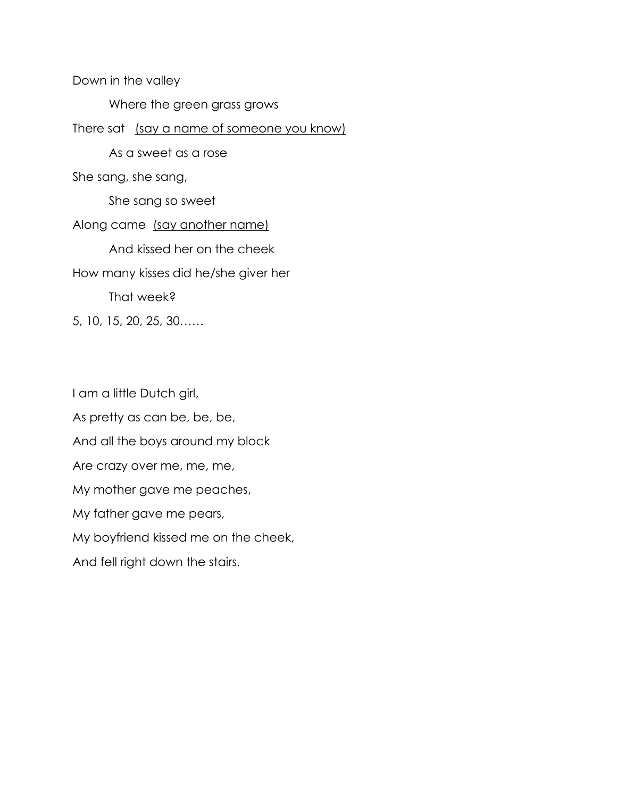Down in the valley Where the green grass grows There sat (say a name of someone you know) As a sweet as a rose She sang, she sang, She sang so sweet Along came (say another name) And kissed her on the cheek How many kisses did he/she giver her That week? 5, 10, 15, 20, 25, 30……

I am a little Dutch girl, As pretty as can be, be, be, And all the boys around my block Are crazy over me, me, me, My mother gave me peaches, My father gave me pears, My boyfriend kissed me on the cheek, And fell right down the stairs.